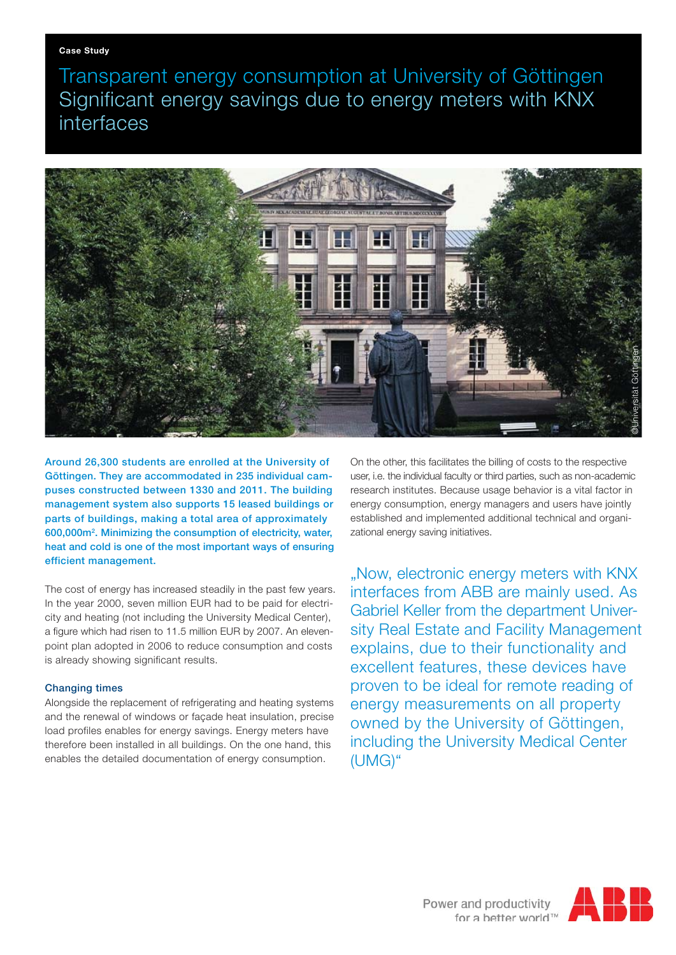Transparent energy consumption at University of Göttingen Significant energy savings due to energy meters with KNX interfaces



Around 26,300 students are enrolled at the University of Göttingen. They are accommodated in 235 individual campuses constructed between 1330 and 2011. The building management system also supports 15 leased buildings or parts of buildings, making a total area of approximately 600,000m2 . Minimizing the consumption of electricity, water, heat and cold is one of the most important ways of ensuring efficient management.

The cost of energy has increased steadily in the past few years. In the year 2000, seven million EUR had to be paid for electricity and heating (not including the University Medical Center), a figure which had risen to 11.5 million EUR by 2007. An elevenpoint plan adopted in 2006 to reduce consumption and costs is already showing significant results.

## Changing times

Alongside the replacement of refrigerating and heating systems and the renewal of windows or façade heat insulation, precise load profiles enables for energy savings. Energy meters have therefore been installed in all buildings. On the one hand, this enables the detailed documentation of energy consumption.

On the other, this facilitates the billing of costs to the respective user, i.e. the individual faculty or third parties, such as non-academic research institutes. Because usage behavior is a vital factor in energy consumption, energy managers and users have jointly established and implemented additional technical and organizational energy saving initiatives.

"Now, electronic energy meters with KNX interfaces from ABB are mainly used. As Gabriel Keller from the department University Real Estate and Facility Management explains, due to their functionality and excellent features, these devices have proven to be ideal for remote reading of energy measurements on all property owned by the University of Göttingen, including the University Medical Center (UMG)"